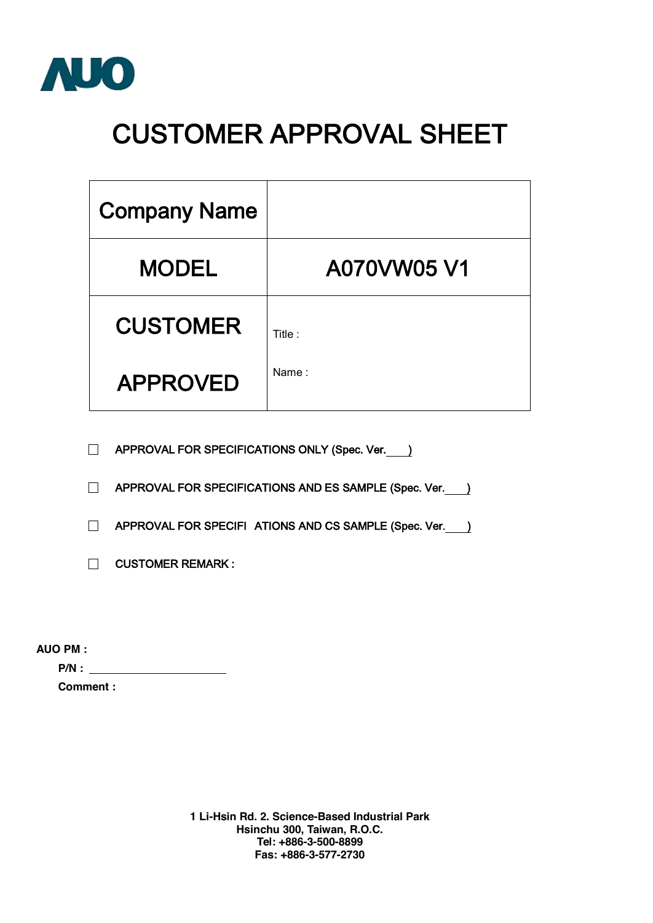

## **CUSTOMER APPROVAL SHEET**

| <b>Company Name</b> |             |
|---------------------|-------------|
| <b>MODEL</b>        | A070VW05 V1 |
| <b>CUSTOMER</b>     | Title :     |
| <b>APPROVED</b>     | Name:       |

□ **APPROVAL FOR SPECIFICATIONS ONLY (Spec. Ver. )** 

□ **APPROVAL FOR SPECIFICATIONS AND ES SAMPLE (Spec. Ver.** )

□ **APPROVAL FOR SPECIFI ATIONS AND CS SAMPLE (Spec. Ver. )** 

□ **CUSTOMER REMARK :** 

**AUO PM :** 

**P/N :** 

**Comment :** 

**1 Li-Hsin Rd. 2. Science-Based Industrial Park Hsinchu 300, Taiwan, R.O.C. Tel: +886-3-500-8899 Fas: +886-3-577-2730**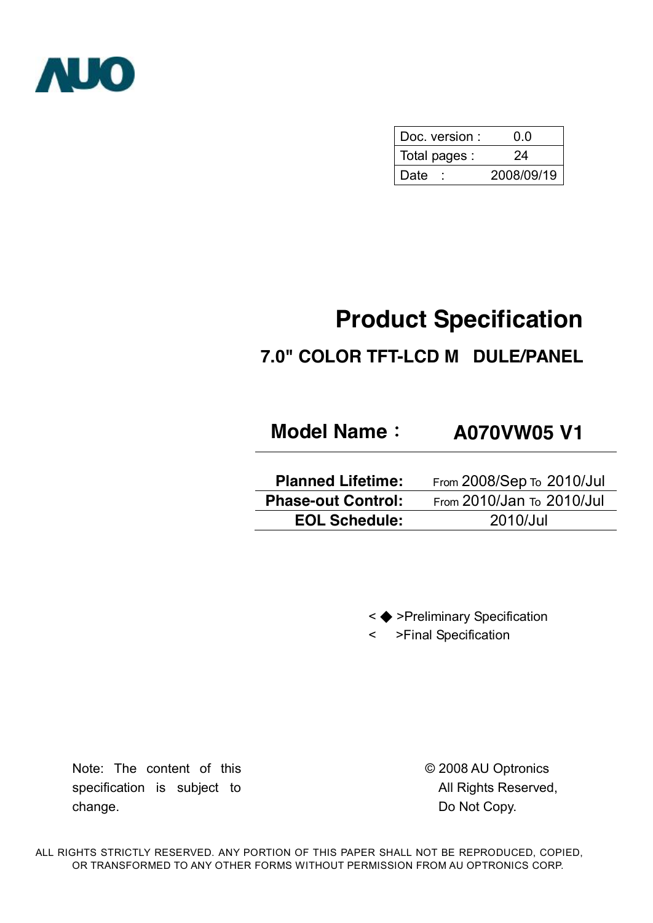

| Doc. version : | 0 O        |  |  |  |
|----------------|------------|--|--|--|
| Total pages :  | 24         |  |  |  |
| Date           | 2008/09/19 |  |  |  |

# **Product Specification**

## **7.0" COLOR TFT-LCD M DULE/PANEL**

## **Model Name: A070VW05 V1**

**Planned Lifetime:** From 2008/Sep To 2010/Jul **Phase-out Control:** From 2010/Jan To 2010/Jul **EOL Schedule:** 2010/Jul

< ◆ >Preliminary Specification

< >Final Specification

Note: The content of this specification is subject to change.

© 2008 AU Optronics All Rights Reserved, Do Not Copy.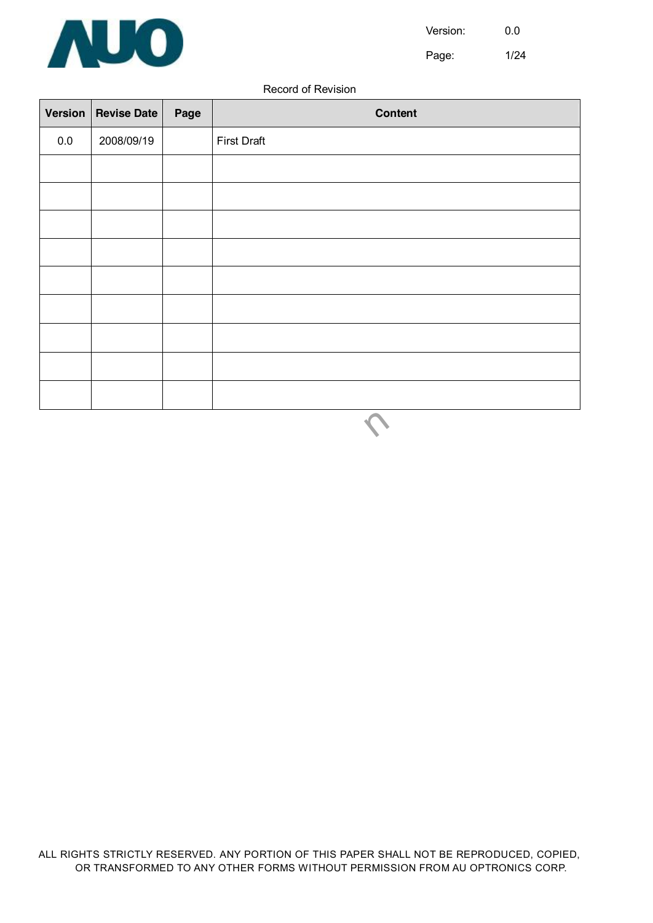

Page: 1/24

#### Record of Revision

| <b>Version</b> | <b>Revise Date</b> | Page | Content            |
|----------------|--------------------|------|--------------------|
| $0.0\,$        | 2008/09/19         |      | <b>First Draft</b> |
|                |                    |      |                    |
|                |                    |      |                    |
|                |                    |      |                    |
|                |                    |      |                    |
|                |                    |      |                    |
|                |                    |      |                    |
|                |                    |      |                    |
|                |                    |      |                    |
|                |                    |      |                    |
|                |                    |      |                    |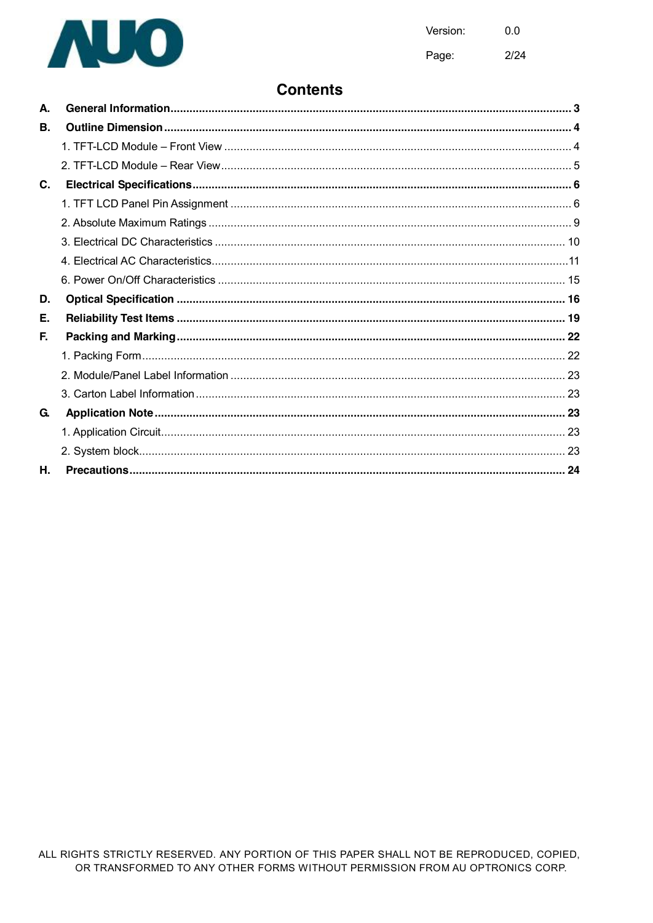

 $2/24$ Page:

### **Contents**

| А. |  |
|----|--|
| В. |  |
|    |  |
|    |  |
| C. |  |
|    |  |
|    |  |
|    |  |
|    |  |
|    |  |
| D. |  |
| Е. |  |
| F. |  |
|    |  |
|    |  |
|    |  |
| G. |  |
|    |  |
|    |  |
|    |  |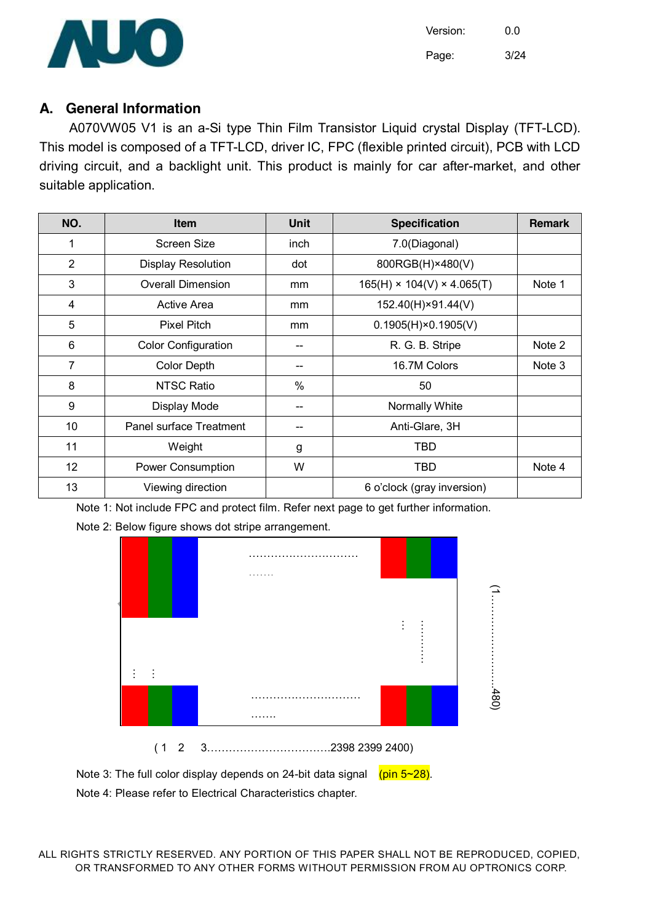

#### **A. General Information**

A070VW05 V1 is an a-Si type Thin Film Transistor Liquid crystal Display (TFT-LCD). This model is composed of a TFT-LCD, driver IC, FPC (flexible printed circuit), PCB with LCD driving circuit, and a backlight unit. This product is mainly for car after-market, and other suitable application.

| NO. | <b>Item</b>                | <b>Unit</b> | <b>Specification</b>                   | <b>Remark</b> |
|-----|----------------------------|-------------|----------------------------------------|---------------|
| 1   | <b>Screen Size</b>         | inch        | 7.0(Diagonal)                          |               |
| 2   | <b>Display Resolution</b>  | dot         | 800RGB(H)×480(V)                       |               |
| 3   | <b>Overall Dimension</b>   | mm          | $165(H) \times 104(V) \times 4.065(T)$ | Note 1        |
| 4   | Active Area                | mm          | 152.40(H)×91.44(V)                     |               |
| 5   | <b>Pixel Pitch</b>         | mm          | $0.1905(H) \times 0.1905(V)$           |               |
| 6   | <b>Color Configuration</b> |             | R. G. B. Stripe                        | Note 2        |
| 7   | <b>Color Depth</b>         |             | 16.7M Colors                           | Note 3        |
| 8   | <b>NTSC Ratio</b>          | $\%$        | 50                                     |               |
| 9   | Display Mode               |             | Normally White                         |               |
| 10  | Panel surface Treatment    |             | Anti-Glare, 3H                         |               |
| 11  | Weight                     | g           | <b>TBD</b>                             |               |
| 12  | Power Consumption          | W           | <b>TBD</b>                             | Note 4        |
| 13  | Viewing direction          |             | 6 o'clock (gray inversion)             |               |

Note 1: Not include FPC and protect film. Refer next page to get further information.





Note 3: The full color display depends on 24-bit data signal  $(pin 5~28)$ . Note 4: Please refer to Electrical Characteristics chapter.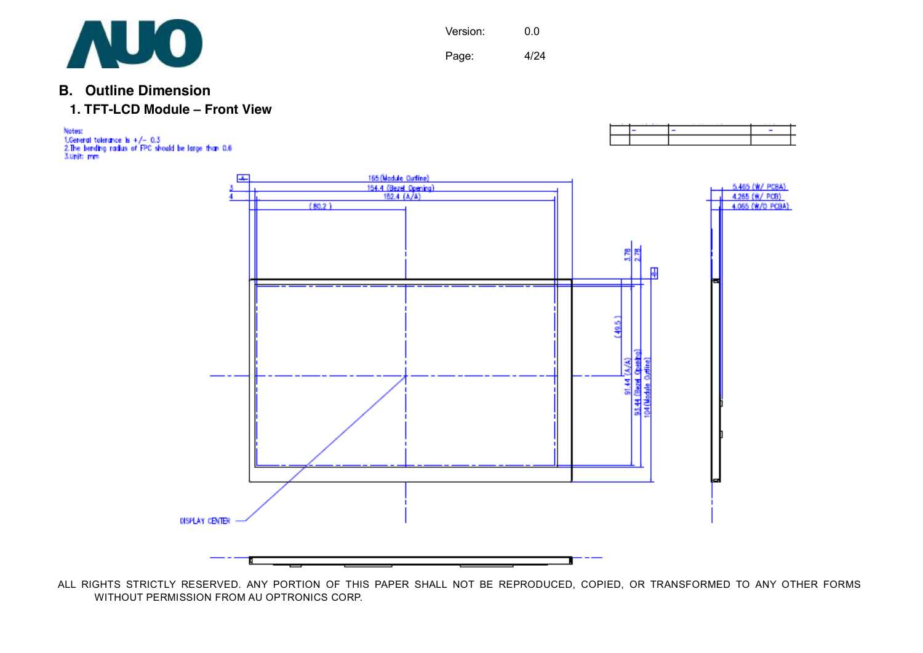

**B. Outline Dimension** 



Notes: ".Ceneral tolerance is +/- 0,3<br>"2.The bending radius of FPC should be large than 0,6<br>"3.Unit: mm



ALL RIGHTS STRICTLY RESERVED. ANY PORTION OF THIS PAPER SHALL NOT BE REPRODUCED, COPIED, OR TRANSFORMED TO ANY OTHER FORMS WITHOUT PERMISSION FROM AU OPTRONICS CORP.

Version: 0.0

Page: 4/24

τ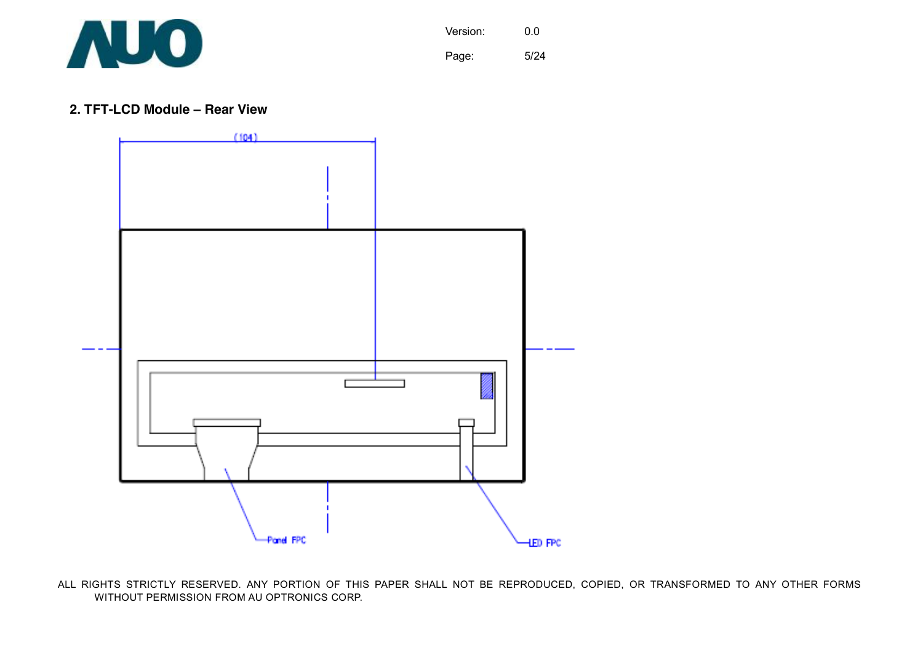

Version: 0.0 Page: 5/24

#### **2. TFT-LCD Module – Rear View**

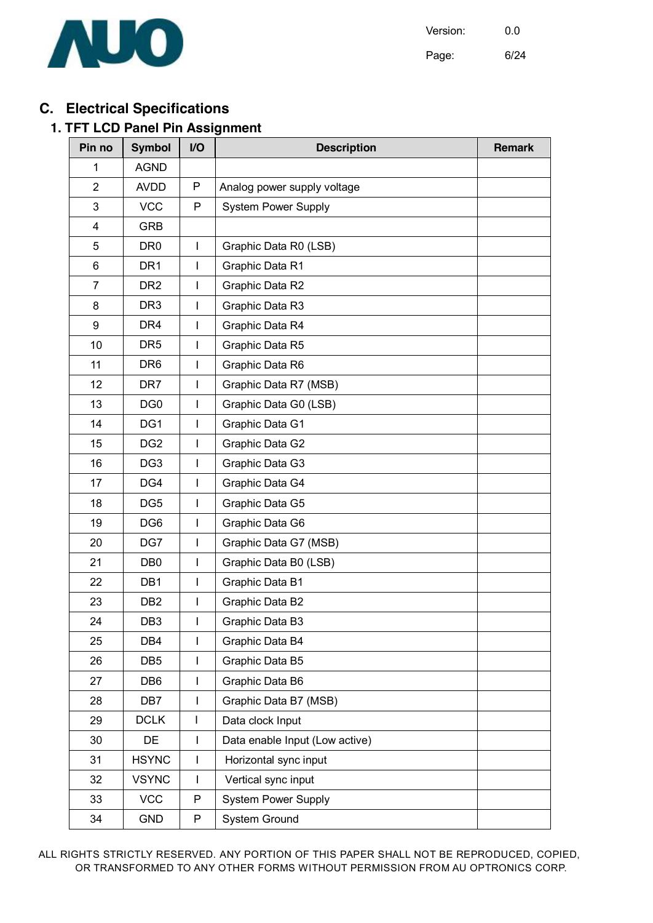

Page: 6/24

## **C. Electrical Specifications**

#### **1. TFT LCD Panel Pin Assignment**

| Pin no         | <b>Symbol</b>   | I/O          | <b>Description</b>             | <b>Remark</b> |
|----------------|-----------------|--------------|--------------------------------|---------------|
| 1              | <b>AGND</b>     |              |                                |               |
| $\overline{2}$ | <b>AVDD</b>     | P            | Analog power supply voltage    |               |
| 3              | <b>VCC</b>      | P            | <b>System Power Supply</b>     |               |
| 4              | <b>GRB</b>      |              |                                |               |
| 5              | DR <sub>0</sub> | $\mathbf{I}$ | Graphic Data R0 (LSB)          |               |
| 6              | DR <sub>1</sub> | T            | Graphic Data R1                |               |
| $\overline{7}$ | DR <sub>2</sub> | T            | Graphic Data R2                |               |
| 8              | DR <sub>3</sub> | T            | Graphic Data R3                |               |
| 9              | DR <sub>4</sub> | T            | Graphic Data R4                |               |
| 10             | DR <sub>5</sub> | T            | Graphic Data R5                |               |
| 11             | DR <sub>6</sub> | T            | Graphic Data R6                |               |
| 12             | DR7             | T            | Graphic Data R7 (MSB)          |               |
| 13             | DG <sub>0</sub> | T            | Graphic Data G0 (LSB)          |               |
| 14             | DG1             | T            | Graphic Data G1                |               |
| 15             | DG <sub>2</sub> | T            | Graphic Data G2                |               |
| 16             | DG <sub>3</sub> | T            | Graphic Data G3                |               |
| 17             | DG4             | T            | Graphic Data G4                |               |
| 18             | DG <sub>5</sub> | T            | Graphic Data G5                |               |
| 19             | DG <sub>6</sub> | T            | Graphic Data G6                |               |
| 20             | DG7             | $\mathbf{I}$ | Graphic Data G7 (MSB)          |               |
| 21             | DB <sub>0</sub> | T            | Graphic Data B0 (LSB)          |               |
| 22             | DB1             | T            | Graphic Data B1                |               |
| 23             | DB <sub>2</sub> | T            | Graphic Data B2                |               |
| 24             | DB <sub>3</sub> | T            | Graphic Data B3                |               |
| 25             | DB4             | $\mathsf{I}$ | Graphic Data B4                |               |
| 26             | DB <sub>5</sub> | T            | Graphic Data B5                |               |
| 27             | DB <sub>6</sub> | T            | Graphic Data B6                |               |
| 28             | DB7             | T            | Graphic Data B7 (MSB)          |               |
| 29             | <b>DCLK</b>     | L            | Data clock Input               |               |
| 30             | DE              | T            | Data enable Input (Low active) |               |
| 31             | <b>HSYNC</b>    | T            | Horizontal sync input          |               |
| 32             | <b>VSYNC</b>    | T            | Vertical sync input            |               |
| 33             | <b>VCC</b>      | $\mathsf{P}$ | <b>System Power Supply</b>     |               |
| 34             | <b>GND</b>      | P            | System Ground                  |               |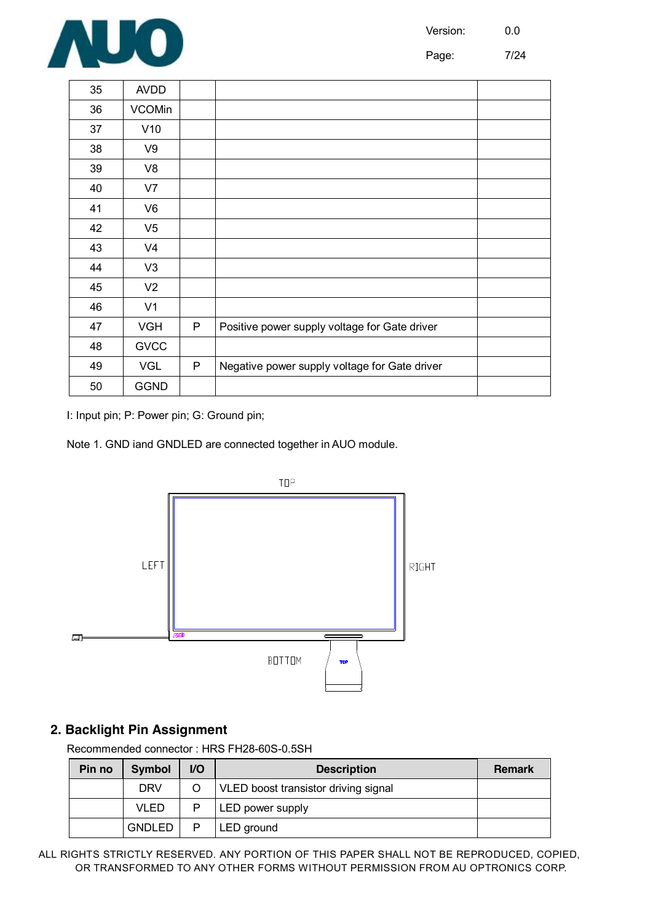

Page: 7/24

| 35 | <b>AVDD</b>    |   |                                               |  |
|----|----------------|---|-----------------------------------------------|--|
| 36 | <b>VCOMin</b>  |   |                                               |  |
| 37 | V10            |   |                                               |  |
| 38 | V9             |   |                                               |  |
| 39 | V8             |   |                                               |  |
| 40 | V7             |   |                                               |  |
| 41 | V <sub>6</sub> |   |                                               |  |
| 42 | V <sub>5</sub> |   |                                               |  |
| 43 | V <sub>4</sub> |   |                                               |  |
| 44 | V <sub>3</sub> |   |                                               |  |
| 45 | V <sub>2</sub> |   |                                               |  |
| 46 | V <sub>1</sub> |   |                                               |  |
| 47 | <b>VGH</b>     | P | Positive power supply voltage for Gate driver |  |
| 48 | <b>GVCC</b>    |   |                                               |  |
| 49 | <b>VGL</b>     | P | Negative power supply voltage for Gate driver |  |
| 50 | <b>GGND</b>    |   |                                               |  |

I: Input pin; P: Power pin; G: Ground pin;

Note 1. GND iand GNDLED are connected together in AUO module.



#### **2. Backlight Pin Assignment**

Recommended connector : HRS FH28-60S-0.5SH

| Pin no | <b>Symbol</b> | <b>VO</b> | <b>Description</b>                   | <b>Remark</b> |
|--------|---------------|-----------|--------------------------------------|---------------|
|        | <b>DRV</b>    |           | VLED boost transistor driving signal |               |
|        | <b>VLED</b>   | P         | LED power supply                     |               |
|        | <b>GNDLED</b> | P         | LED ground                           |               |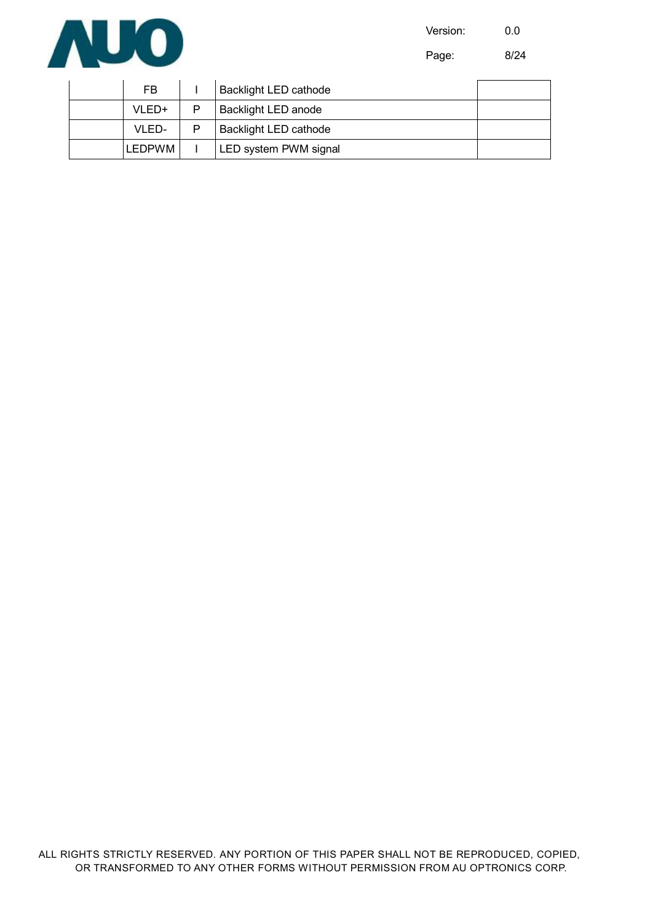

**AUO** 

Page: 8/24

| FB.           | <b>Backlight LED cathode</b> |  |
|---------------|------------------------------|--|
| VLED+         | Backlight LED anode          |  |
| VLED-         | <b>Backlight LED cathode</b> |  |
| <b>LEDPWM</b> | LED system PWM signal        |  |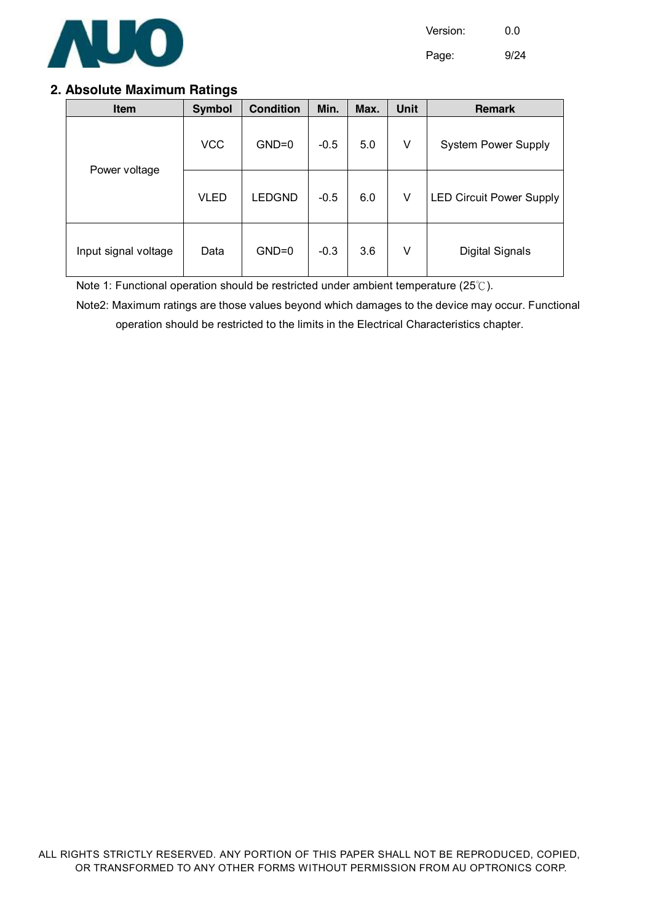

Page: 9/24

#### **2. Absolute Maximum Ratings**

| Item                 | <b>Symbol</b> | <b>Condition</b> | Min.   | Max. | Unit | <b>Remark</b>                   |
|----------------------|---------------|------------------|--------|------|------|---------------------------------|
|                      | <b>VCC</b>    | $GND=0$          | $-0.5$ | 5.0  | V    | <b>System Power Supply</b>      |
| Power voltage        | <b>VLED</b>   | <b>LEDGND</b>    | $-0.5$ | 6.0  | V    | <b>LED Circuit Power Supply</b> |
| Input signal voltage | Data          | $GND=0$          | $-0.3$ | 3.6  | V    | <b>Digital Signals</b>          |

Note 1: Functional operation should be restricted under ambient temperature (25℃).

Note2: Maximum ratings are those values beyond which damages to the device may occur. Functional operation should be restricted to the limits in the Electrical Characteristics chapter.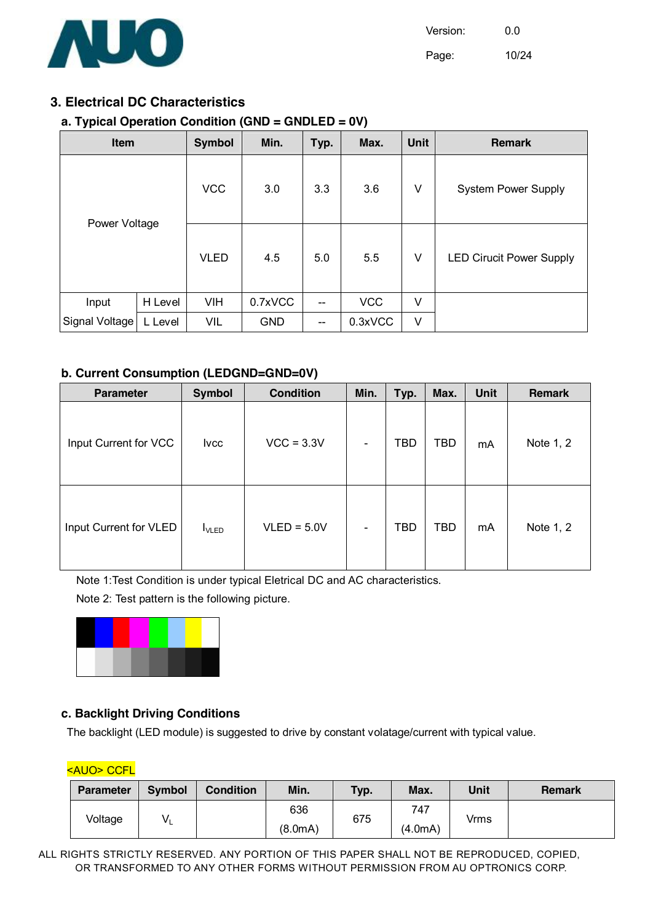

Page: 10/24

#### **3. Electrical DC Characteristics**

#### **a. Typical Operation Condition (GND = GNDLED = 0V)**

| <b>Item</b>    |         | <b>Symbol</b> | Min.       | Typ.                     | Max.       | <b>Unit</b> | <b>Remark</b>                   |
|----------------|---------|---------------|------------|--------------------------|------------|-------------|---------------------------------|
|                |         | <b>VCC</b>    | 3.0        | 3.3                      | V<br>3.6   |             | <b>System Power Supply</b>      |
| Power Voltage  |         | <b>VLED</b>   | 4.5        | 5.0                      | 5.5        | V           | <b>LED Cirucit Power Supply</b> |
| Input          | H Level | <b>VIH</b>    | 0.7xVCC    | $\overline{\phantom{a}}$ | <b>VCC</b> | V           |                                 |
| Signal Voltage | L Level | <b>VIL</b>    | <b>GND</b> | --                       | 0.3xVCC    | V           |                                 |

#### **b. Current Consumption (LEDGND=GND=0V)**

| <b>Parameter</b>       | <b>Condition</b><br><b>Symbol</b> |               | Min.                     | Typ.       | Max.       | <b>Unit</b> | <b>Remark</b> |
|------------------------|-----------------------------------|---------------|--------------------------|------------|------------|-------------|---------------|
| Input Current for VCC  | <b>Ivcc</b>                       | $VCC = 3.3V$  | $\overline{\phantom{a}}$ | <b>TBD</b> | <b>TBD</b> | mA          | Note 1, 2     |
| Input Current for VLED | $I_{\text{VLED}}$                 | $VLED = 5.0V$ | ۰                        | <b>TBD</b> | <b>TBD</b> | mA          | Note 1, 2     |

Note 1:Test Condition is under typical Eletrical DC and AC characteristics.

Note 2: Test pattern is the following picture.



#### **c. Backlight Driving Conditions**

The backlight (LED module) is suggested to drive by constant volatage/current with typical value.

|  | <auo> CCFL</auo> |
|--|------------------|
|  |                  |

| Parameter | <b>Symbol</b> | <b>Condition</b> | Min.    | Typ. | Max.    | Unit | <b>Remark</b> |
|-----------|---------------|------------------|---------|------|---------|------|---------------|
| Voltage   | V١            |                  | 636     | 675  | 747     | Vrms |               |
|           |               |                  | (8.0mA) |      | (4.0mA) |      |               |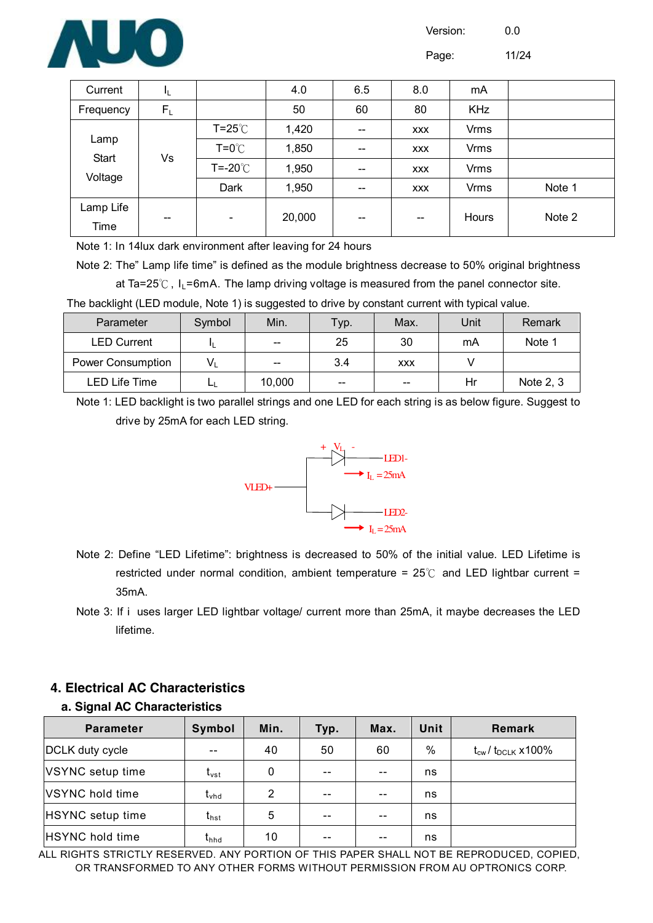

Page: 11/24

| Current           | JL.   |                          | 4.0    | 6.5                                            | 8.0                      | mA          |        |
|-------------------|-------|--------------------------|--------|------------------------------------------------|--------------------------|-------------|--------|
| Frequency         | $F_L$ |                          | 50     | 60                                             | 80                       | <b>KHz</b>  |        |
|                   |       | $T = 25^{\circ}$         | 1,420  | $\hspace{0.1mm}-\hspace{0.1mm}-\hspace{0.1mm}$ | <b>XXX</b>               | <b>Vrms</b> |        |
| Lamp<br>Start     |       | $T = 0^{\circ}$          | 1,850  | $\hspace{0.05cm}$                              | <b>XXX</b>               | <b>Vrms</b> |        |
| Voltage           | Vs    | T=-20℃                   | 1,950  | $\overline{\phantom{a}}$                       | <b>XXX</b>               | <b>Vrms</b> |        |
|                   |       | Dark                     | 1,950  | $\overline{\phantom{a}}$                       | <b>XXX</b>               | <b>Vrms</b> | Note 1 |
| Lamp Life<br>Time | $-$   | $\overline{\phantom{a}}$ | 20,000 | $\overline{\phantom{a}}$                       | $\overline{\phantom{m}}$ | Hours       | Note 2 |

Note 1: In 14lux dark environment after leaving for 24 hours

Note 2: The" Lamp life time" is defined as the module brightness decrease to 50% original brightness

at Ta=25 $^{\circ}$ C, I<sub>L</sub>=6mA. The lamp driving voltage is measured from the panel connector site.

The backlight (LED module, Note 1) is suggested to drive by constant current with typical value.

| Parameter                | Symbol | Min.                                           | Typ.                   | Max.       | Unit | Remark    |
|--------------------------|--------|------------------------------------------------|------------------------|------------|------|-----------|
| <b>LED Current</b>       |        | $- -$                                          | 25                     | 30         | mA   | Note 1    |
| <b>Power Consumption</b> | V,     | $\hspace{0.1mm}-\hspace{0.1mm}-\hspace{0.1mm}$ | 3.4                    | <b>XXX</b> |      |           |
| LED Life Time            |        | 10,000                                         | $\qquad \qquad \cdots$ | $- -$      | Hr   | Note 2, 3 |

Note 1: LED backlight is two parallel strings and one LED for each string is as below figure. Suggest to drive by 25mA for each LED string.



- Note 2: Define "LED Lifetime": brightness is decreased to 50% of the initial value. LED Lifetime is restricted under normal condition, ambient temperature =  $25^{\circ}$  and LED lightbar current = 35mA.
- Note 3: If i uses larger LED lightbar voltage/ current more than 25mA, it maybe decreases the LED lifetime.

#### **4. Electrical AC Characteristics**

#### **a. Signal AC Characteristics**

| <b>Parameter</b>       | Symbol                                 | Min. | Typ.  | Max.  | Unit | Remark                                    |
|------------------------|----------------------------------------|------|-------|-------|------|-------------------------------------------|
| DCLK duty cycle        |                                        | 40   | 50    | 60    | $\%$ | $t_{\text{cw}}$ / $t_{\text{DCLK}}$ x100% |
| VSYNC setup time       | $\boldsymbol{\mathrm{t}}_{\text{vst}}$ | 0    | $- -$ | $- -$ | ns   |                                           |
| VSYNC hold time        | $\mathfrak{t}_{\mathsf{vhd}}$          | 2    |       |       | ns   |                                           |
| HSYNC setup time       | $t_{\sf{hst}}$                         | 5    | $- -$ | $- -$ | ns   |                                           |
| <b>HSYNC</b> hold time | $t_{\text{hhd}}$                       | 10   |       |       | ns   |                                           |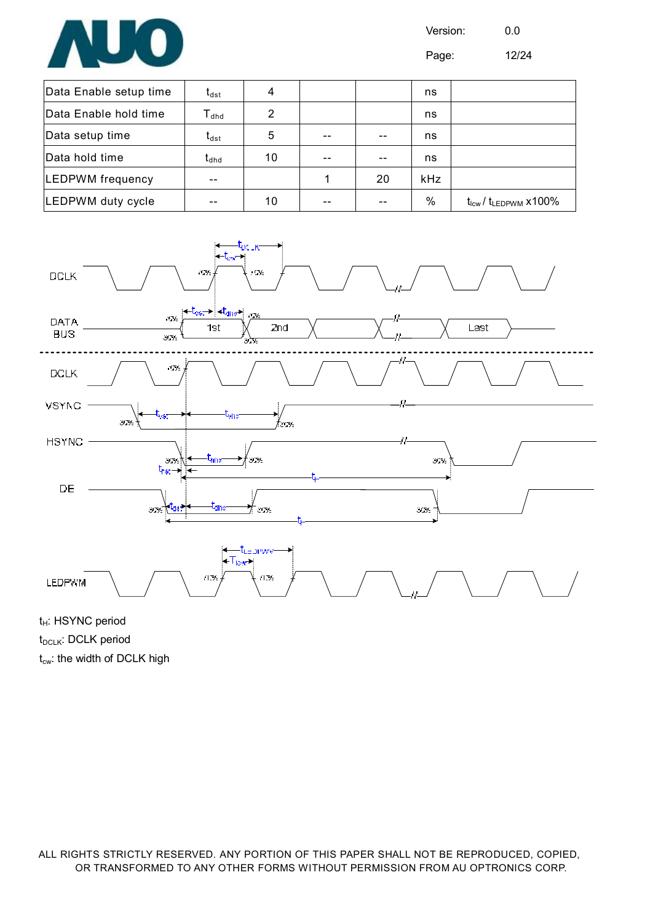

Page: 12/24

| Data Enable setup time  | $\sf t_{dst}$                              | 4  |    | ns         |                                              |
|-------------------------|--------------------------------------------|----|----|------------|----------------------------------------------|
| Data Enable hold time   | $T_{dhd}$                                  | 2  |    | ns         |                                              |
| Data setup time         | $\boldsymbol{\mathsf{t}}_{\mathsf{dst}}$   | 5  |    | ns         |                                              |
| Data hold time          | $\boldsymbol{\mathfrak{t}}_{\textsf{dhd}}$ | 10 |    | ns         |                                              |
| <b>LEDPWM</b> frequency |                                            |    | 20 | <b>kHz</b> |                                              |
| LEDPWM duty cycle       |                                            | 10 |    | %          | $t_{\text{lcw}}$ / $t_{\text{LEDPWM}}$ x100% |



t<sub>H</sub>: HSYNC period t<sub>DCLK</sub>: DCLK period  $t_{\text{cw}}$ : the width of DCLK high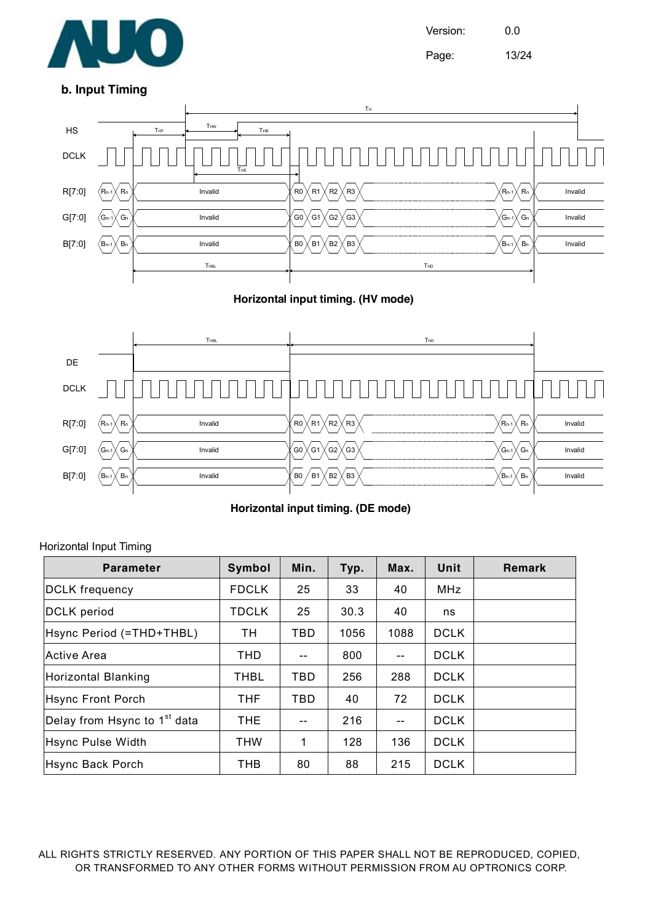

Version: 0.0 Page: 13/24

#### **b. Input Timing**



**Horizontal input timing. (HV mode)**



**Horizontal input timing. (DE mode)** 

#### Horizontal Input Timing

| <b>Parameter</b>                         | Symbol       | Min.  | Typ. | Max. | Unit        | <b>Remark</b> |
|------------------------------------------|--------------|-------|------|------|-------------|---------------|
| <b>DCLK</b> frequency                    | <b>FDCLK</b> | 25    | 33   | 40   | <b>MHz</b>  |               |
| DCLK period                              | <b>TDCLK</b> | 25    | 30.3 | 40   | ns          |               |
| Hsync Period (=THD+THBL)                 | TH           | TBD   | 1056 | 1088 | <b>DCLK</b> |               |
| Active Area                              | <b>THD</b>   | $- -$ | 800  | $-$  | <b>DCLK</b> |               |
| Horizontal Blanking                      | <b>THBL</b>  | TBD   | 256  | 288  | <b>DCLK</b> |               |
| Hsync Front Porch                        | <b>THF</b>   | TBD   | 40   | 72   | <b>DCLK</b> |               |
| Delay from Hsync to 1 <sup>st</sup> data | <b>THE</b>   | --    | 216  | --   | <b>DCLK</b> |               |
| Hsync Pulse Width                        | <b>THW</b>   | 1     | 128  | 136  | <b>DCLK</b> |               |
| Hsync Back Porch                         | <b>THB</b>   | 80    | 88   | 215  | <b>DCLK</b> |               |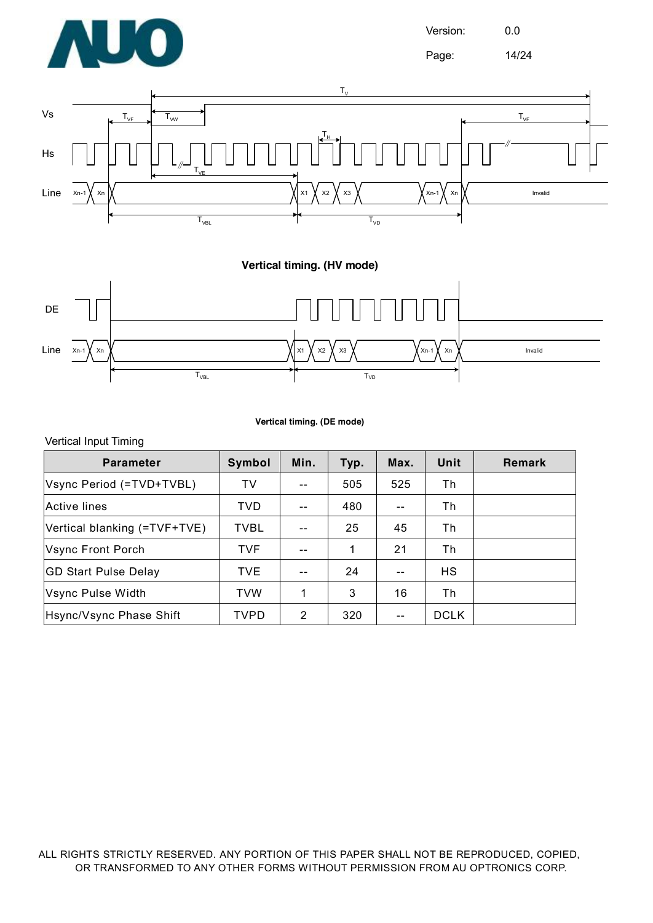

Page: 14/24



**Vertical timing. (HV mode)** 



#### **Vertical timing. (DE mode)**

#### Vertical Input Timing

| <b>Parameter</b>             | <b>Symbol</b> | Min.  | Typ. | Max. | Unit        | Remark |
|------------------------------|---------------|-------|------|------|-------------|--------|
| Vsync Period (=TVD+TVBL)     | <b>TV</b>     | $- -$ | 505  | 525  | Th          |        |
| <b>Active lines</b>          | <b>TVD</b>    | $- -$ | 480  | --   | Тh          |        |
| Vertical blanking (=TVF+TVE) | <b>TVBL</b>   | $-$   | 25   | 45   | Th          |        |
| Vsync Front Porch            | <b>TVF</b>    | $- -$ | 1    | 21   | Th          |        |
| <b>GD Start Pulse Delay</b>  | TVE.          | $- -$ | 24   | --   | HS          |        |
| Vsync Pulse Width            | <b>TVW</b>    | 1     | 3    | 16   | Th          |        |
| Hsync/Vsync Phase Shift      | <b>TVPD</b>   | 2     | 320  |      | <b>DCLK</b> |        |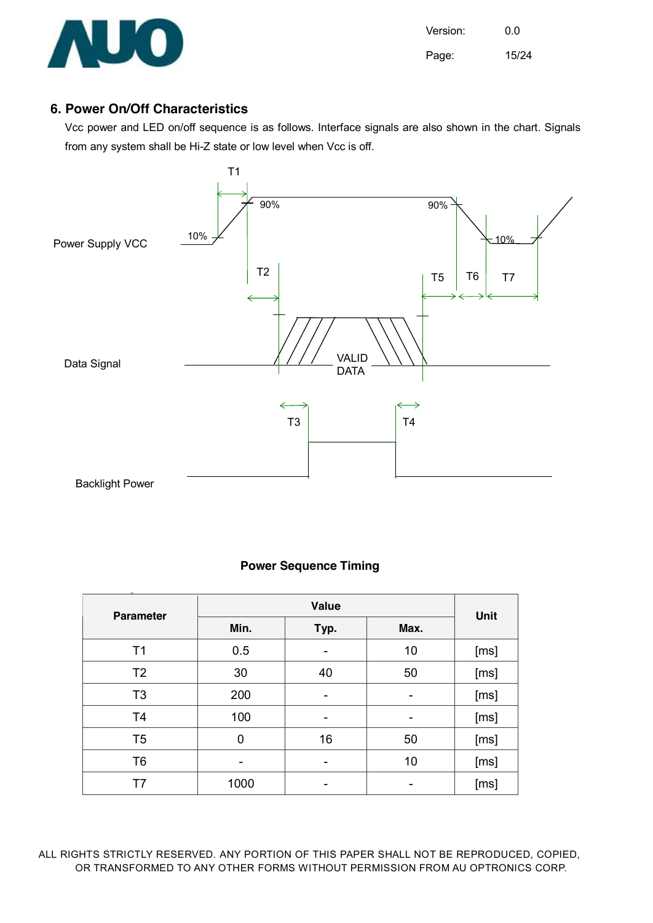

#### **6. Power On/Off Characteristics**

Vcc power and LED on/off sequence is as follows. Interface signals are also shown in the chart. Signals from any system shall be Hi-Z state or low level when Vcc is off.



#### **Power Sequence Timing**

| <b>Parameter</b> |      | Unit |      |      |
|------------------|------|------|------|------|
|                  | Min. | Typ. | Max. |      |
| T1               | 0.5  |      | 10   | [ms] |
| T <sub>2</sub>   | 30   | 40   | 50   | [ms] |
| T <sub>3</sub>   | 200  |      | -    | [ms] |
| T <sub>4</sub>   | 100  | -    | -    | [ms] |
| T <sub>5</sub>   | 0    | 16   | 50   | [ms] |
| T <sub>6</sub>   |      |      | 10   | [ms] |
| T7               | 1000 |      |      | [ms] |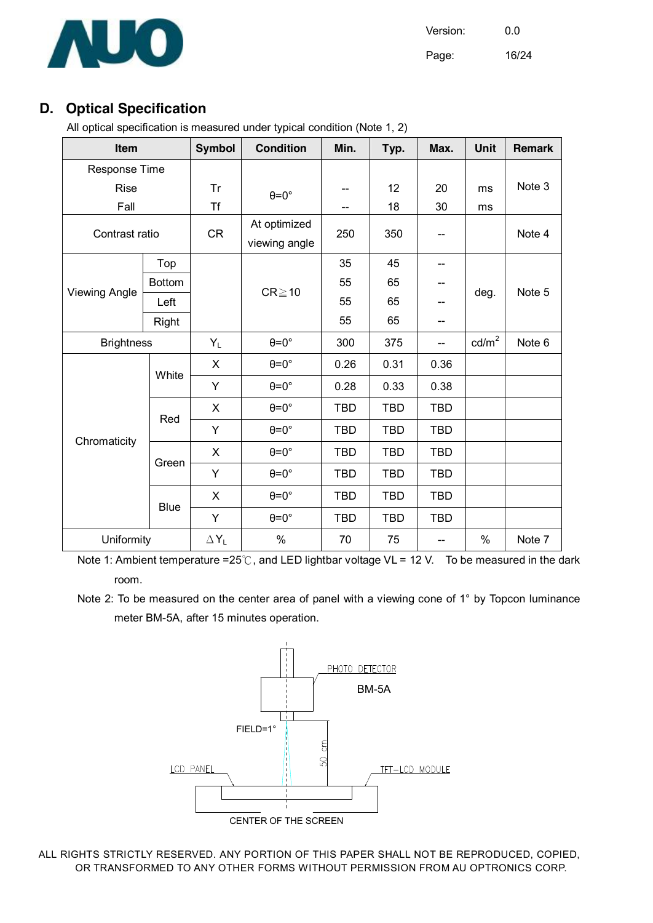

Page: 16/24

### **D. Optical Specification**

All optical specification is measured under typical condition (Note 1, 2)

| Item                 |               | <b>Symbol</b> | <b>Condition</b>              | Min.       | Typ.       | Max.       | Unit            | <b>Remark</b> |
|----------------------|---------------|---------------|-------------------------------|------------|------------|------------|-----------------|---------------|
| Response Time        |               |               |                               |            |            |            |                 |               |
| <b>Rise</b>          |               | <b>Tr</b>     | $\theta = 0^\circ$            | --         | 12         | 20         | ms              | Note 3        |
| Fall                 |               | <b>Tf</b>     |                               | --         | 18         | 30         | ms              |               |
| Contrast ratio       |               | <b>CR</b>     | At optimized<br>viewing angle | 250        | 350        |            |                 | Note 4        |
|                      | Top           |               |                               | 35         | 45         | --         |                 |               |
| <b>Viewing Angle</b> | <b>Bottom</b> |               | $CR \ge 10$                   | 55         | 65         | --         | deg.            | Note 5        |
|                      | Left          |               |                               | 55         | 65         |            |                 |               |
|                      | Right         |               |                               | 55         | 65         | --         |                 |               |
| <b>Brightness</b>    |               | $Y_L$         | $\theta = 0^\circ$            | 300        | 375        | $-$        | $\text{cd/m}^2$ | Note 6        |
|                      | White         | X             | $\theta = 0^\circ$            | 0.26       | 0.31       | 0.36       |                 |               |
|                      |               | Y             | $\theta = 0^\circ$            | 0.28       | 0.33       | 0.38       |                 |               |
|                      | Red           | X             | $\theta = 0^\circ$            | <b>TBD</b> | <b>TBD</b> | <b>TBD</b> |                 |               |
|                      |               | Y             | $\theta = 0^\circ$            | <b>TBD</b> | <b>TBD</b> | <b>TBD</b> |                 |               |
| Chromaticity         | Green         | X             | $\theta = 0^\circ$            | <b>TBD</b> | <b>TBD</b> | <b>TBD</b> |                 |               |
|                      |               | Y             | $\theta = 0^\circ$            | <b>TBD</b> | <b>TBD</b> | <b>TBD</b> |                 |               |
|                      | <b>Blue</b>   | X             | $\theta = 0^\circ$            | <b>TBD</b> | <b>TBD</b> | <b>TBD</b> |                 |               |
|                      |               | Y             | $\theta = 0^\circ$            | <b>TBD</b> | <b>TBD</b> | <b>TBD</b> |                 |               |
| Uniformity           |               | $\Delta Y_L$  | $\%$                          | 70         | 75         | --         | $\%$            | Note 7        |

Note 1: Ambient temperature =25℃, and LED lightbar voltage VL = 12 V. To be measured in the dark room.

Note 2: To be measured on the center area of panel with a viewing cone of 1° by Topcon luminance meter BM-5A, after 15 minutes operation.

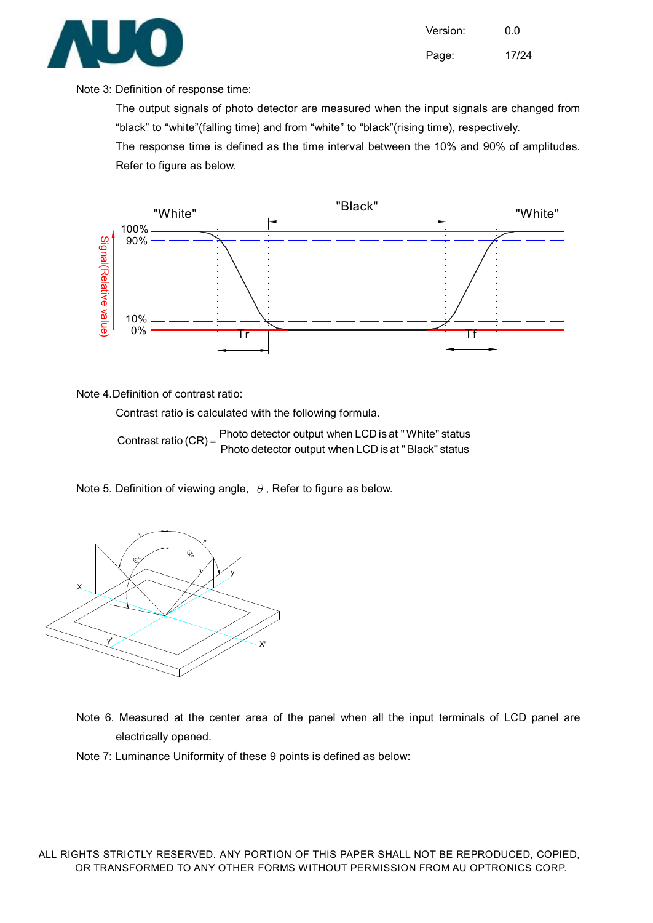

Version: 0.0 Page: 17/24

#### Note 3: Definition of response time:

The output signals of photo detector are measured when the input signals are changed from "black" to "white"(falling time) and from "white" to "black"(rising time), respectively.

The response time is defined as the time interval between the 10% and 90% of amplitudes. Refer to figure as below.



Note 4.Definition of contrast ratio:

Contrast ratio is calculated with the following formula.

Photo detector output when LCD is at "Black" status Contrast ratio  $(CR) = \frac{\text{Photo detector output when LCD is at "White" status}}{\text{Deformation}}$ 

Note 5. Definition of viewing angle,  $\theta$ , Refer to figure as below.



Note 6. Measured at the center area of the panel when all the input terminals of LCD panel are electrically opened.

Note 7: Luminance Uniformity of these 9 points is defined as below: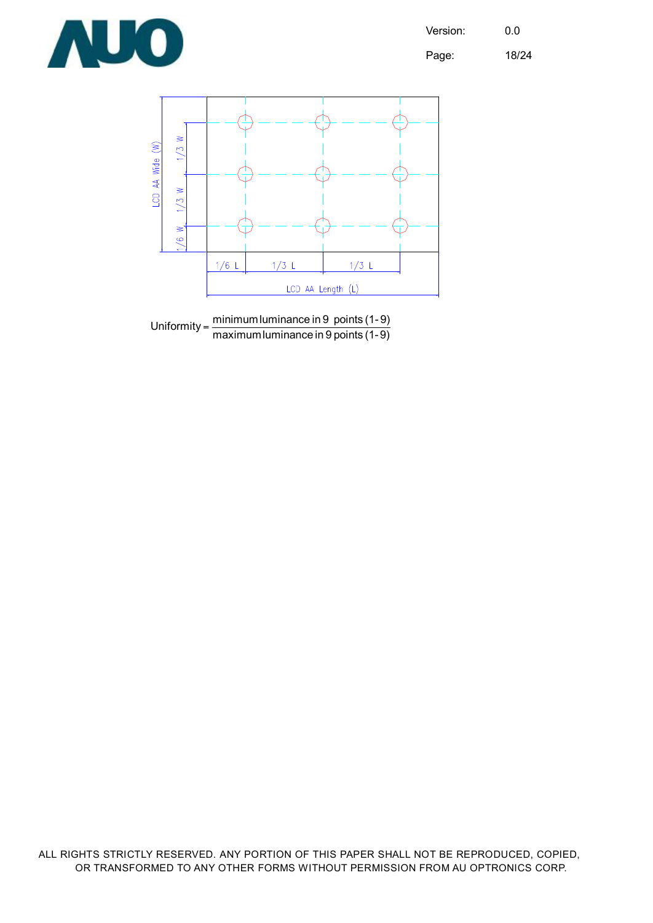

Page: 18/24





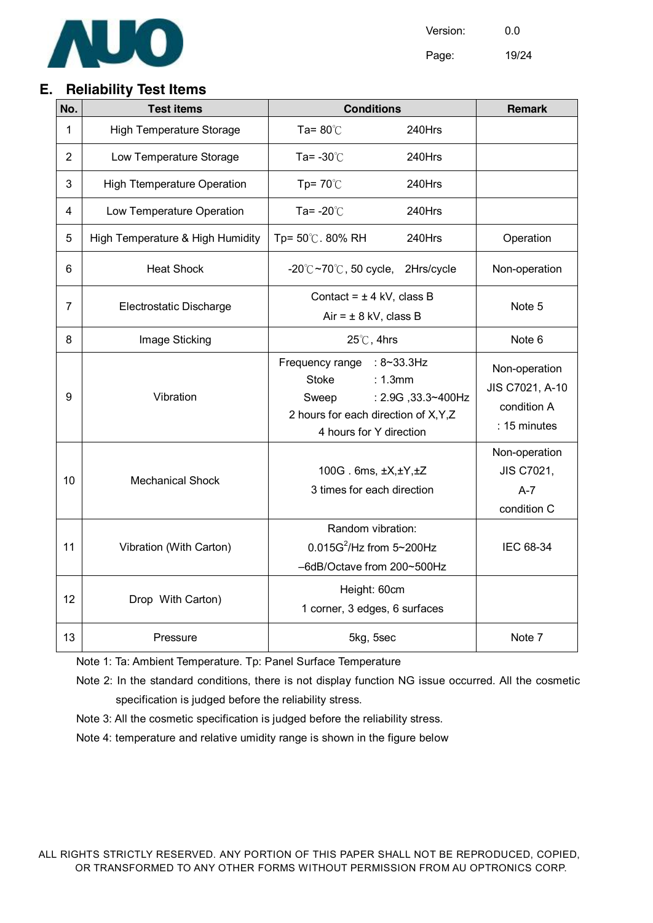

Page: 19/24

#### **E. Reliability Test Items**

| No.            | <b>Test items</b>                  | <b>Conditions</b>                                                                                                                  | <b>Remark</b>      |                                                                 |
|----------------|------------------------------------|------------------------------------------------------------------------------------------------------------------------------------|--------------------|-----------------------------------------------------------------|
| 1              | <b>High Temperature Storage</b>    | Ta= $80^{\circ}$ C                                                                                                                 | 240Hrs             |                                                                 |
| $\overline{2}$ | Low Temperature Storage            | Ta= $-30^{\circ}$ C                                                                                                                | 240Hrs             |                                                                 |
| 3              | <b>High Ttemperature Operation</b> | Tp= $70^{\circ}$ C                                                                                                                 | 240Hrs             |                                                                 |
| 4              | Low Temperature Operation          | Ta= $-20^{\circ}$ C                                                                                                                | 240Hrs             |                                                                 |
| 5              | High Temperature & High Humidity   | Tp= 50℃. 80% RH                                                                                                                    | 240Hrs             | Operation                                                       |
| 6              | <b>Heat Shock</b>                  | $-20^{\circ}$ C $\sim$ 70 $^{\circ}$ C, 50 cycle,                                                                                  | 2Hrs/cycle         | Non-operation                                                   |
| 7              | Electrostatic Discharge            | Contact = $\pm$ 4 kV, class B<br>$Air = ± 8$ kV, class B                                                                           |                    | Note 5                                                          |
| 8              | Image Sticking                     | $25^{\circ}$ C, 4hrs                                                                                                               | Note 6             |                                                                 |
| 9              | Vibration                          | Frequency range : 8~33.3Hz<br><b>Stoke</b><br>: 1.3mm<br>Sweep<br>2 hours for each direction of X, Y, Z<br>4 hours for Y direction | : 2.9G, 33.3~400Hz | Non-operation<br>JIS C7021, A-10<br>condition A<br>: 15 minutes |
| 10             | <b>Mechanical Shock</b>            | 100G. 6ms, ±X,±Y,±Z<br>3 times for each direction                                                                                  |                    | Non-operation<br>JIS C7021,<br>$A-7$<br>condition C             |
| 11             | Vibration (With Carton)            | Random vibration:<br>$0.015G^2$ /Hz from 5~200Hz<br>-6dB/Octave from 200~500Hz                                                     |                    | IEC 68-34                                                       |
| 12             | Drop With Carton)                  | Height: 60cm<br>1 corner, 3 edges, 6 surfaces                                                                                      |                    |                                                                 |
| 13             | Pressure                           | 5kg, 5sec                                                                                                                          |                    | Note 7                                                          |

Note 1: Ta: Ambient Temperature. Tp: Panel Surface Temperature

Note 2: In the standard conditions, there is not display function NG issue occurred. All the cosmetic specification is judged before the reliability stress.

Note 3: All the cosmetic specification is judged before the reliability stress.

Note 4: temperature and relative umidity range is shown in the figure below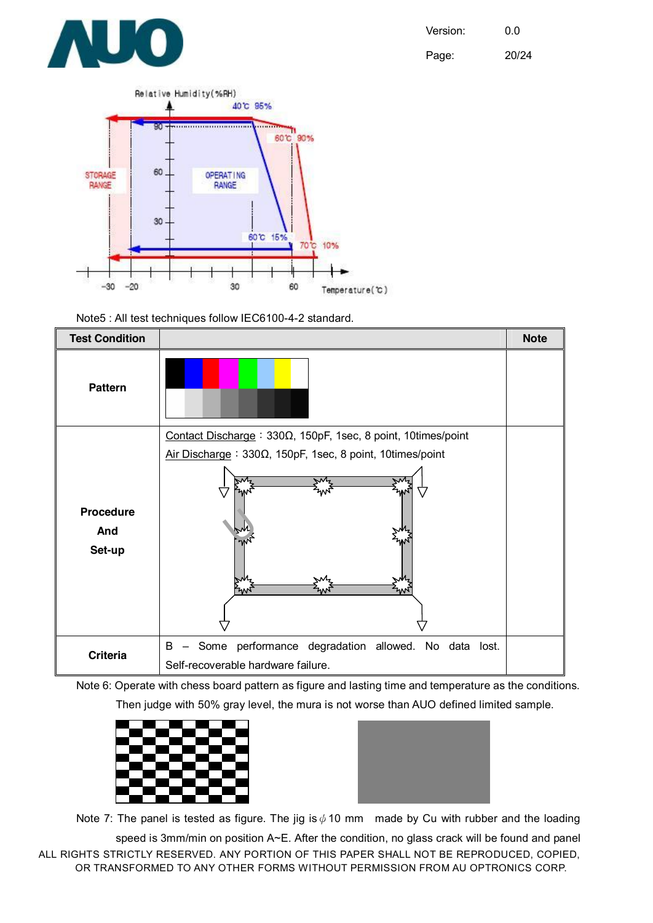

Page: 20/24



Note5 : All test techniques follow IEC6100-4-2 standard.



Note 6: Operate with chess board pattern as figure and lasting time and temperature as the conditions. Then judge with 50% gray level, the mura is not worse than AUO defined limited sample.





Note 7: The panel is tested as figure. The jig is  $\phi$  10 mm made by Cu with rubber and the loading

ALL RIGHTS STRICTLY RESERVED. ANY PORTION OF THIS PAPER SHALL NOT BE REPRODUCED, COPIED, OR TRANSFORMED TO ANY OTHER FORMS WITHOUT PERMISSION FROM AU OPTRONICS CORP. speed is 3mm/min on position A~E. After the condition, no glass crack will be found and panel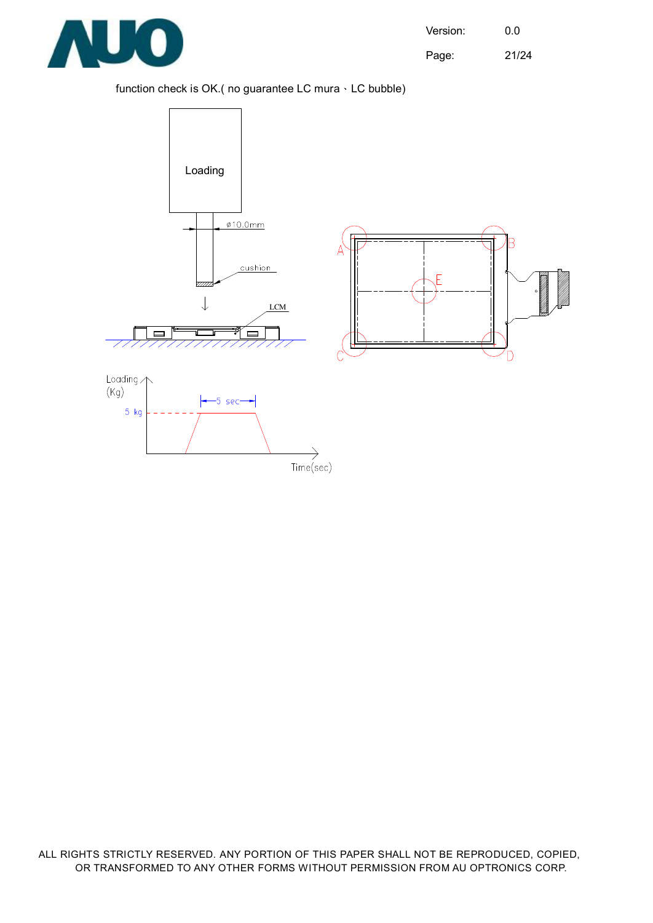

Page: 21/24

#### function check is OK.( no guarantee LC mura、LC bubble)

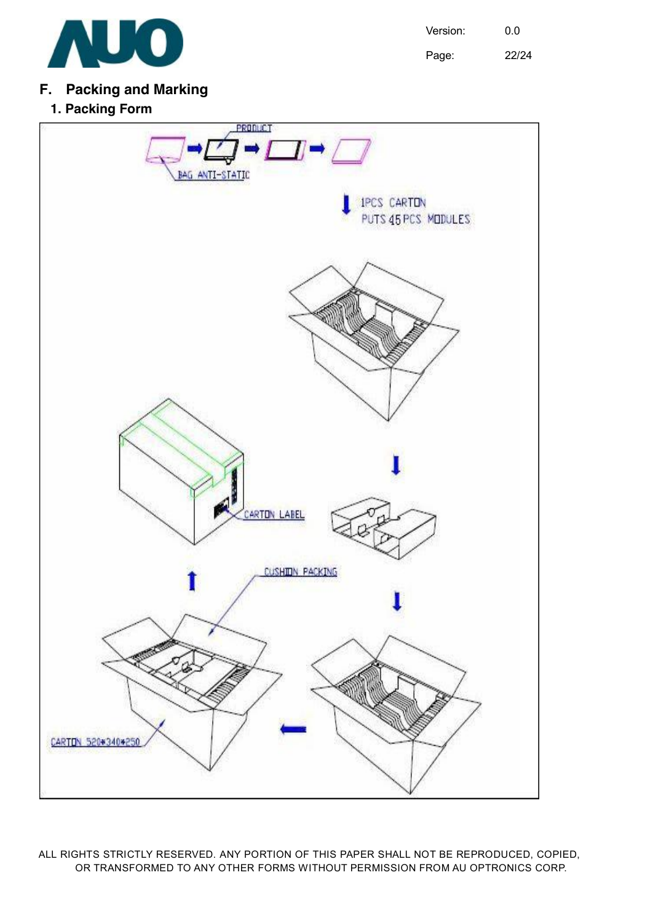

Page: 22/24

#### **F. Packing and Marking**

**1. Packing Form** 

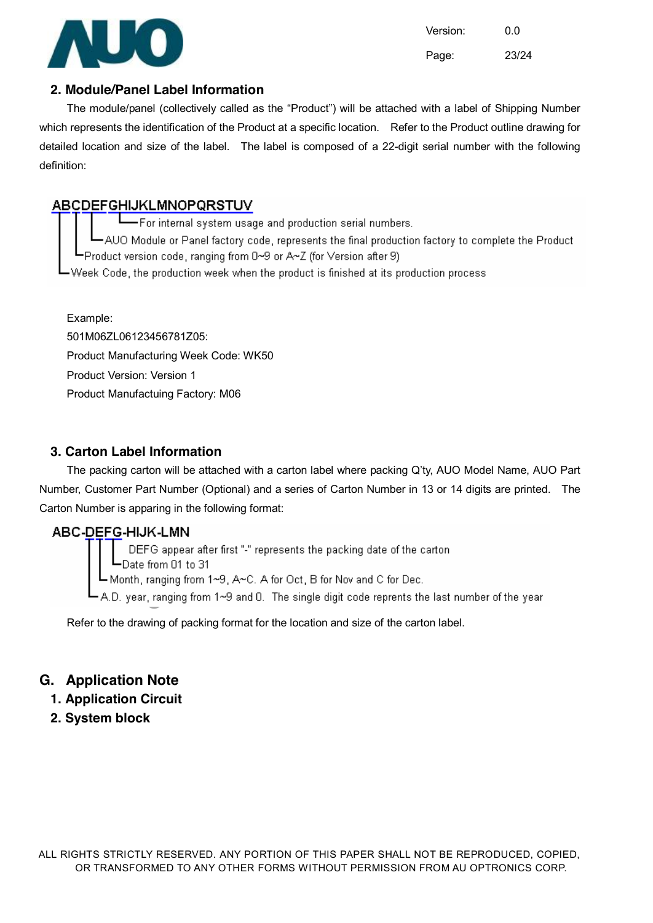

Version: 0.0 Page: 23/24

#### **2. Module/Panel Label Information**

The module/panel (collectively called as the "Product") will be attached with a label of Shipping Number which represents the identification of the Product at a specific location. Refer to the Product outline drawing for detailed location and size of the label. The label is composed of a 22-digit serial number with the following definition:

#### **ABCDEFGHIJKLMNOPQRSTUV**

For internal system usage and production serial numbers.

-AUO Module or Panel factory code, represents the final production factory to complete the Product L-Product version code, ranging from 0~9 or A~Z (for Version after 9)

-Week Code, the production week when the product is finished at its production process.

Example: 501M06ZL06123456781Z05: Product Manufacturing Week Code: WK50 Product Version: Version 1 Product Manufactuing Factory: M06

#### **3. Carton Label Information**

The packing carton will be attached with a carton label where packing Q'ty, AUO Model Name, AUO Part Number, Customer Part Number (Optional) and a series of Carton Number in 13 or 14 digits are printed. The Carton Number is apparing in the following format:

ABC-DEFG-HIJK-LMN<br>DEFG appear after first "-" represents the packing date of the carton<br>Date from 01 to 31<br>Month, ranging from 1~9, A~C. A for Oct, B for Nov and C for Dec.<br>A.D. year, ranging from 1~9 and 0. The single dig

Refer to the drawing of packing format for the location and size of the carton label.

#### **G. Application Note**

- **1. Application Circuit**
- **2. System block**